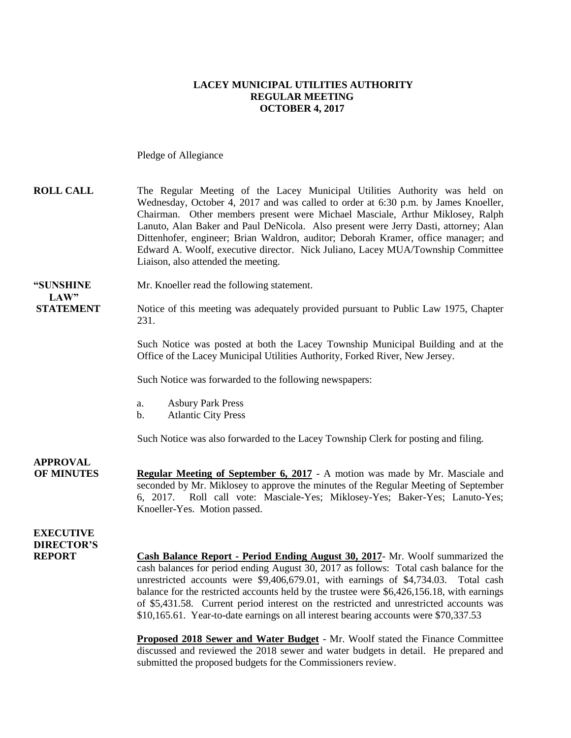#### **LACEY MUNICIPAL UTILITIES AUTHORITY REGULAR MEETING OCTOBER 4, 2017**

Pledge of Allegiance

| <b>ROLL CALL</b> | The Regular Meeting of the Lacey Municipal Utilities Authority was held on          |
|------------------|-------------------------------------------------------------------------------------|
|                  | Wednesday, October 4, 2017 and was called to order at 6:30 p.m. by James Knoeller,  |
|                  | Chairman. Other members present were Michael Masciale, Arthur Miklosey, Ralph       |
|                  | Lanuto, Alan Baker and Paul DeNicola. Also present were Jerry Dasti, attorney; Alan |
|                  | Dittenhofer, engineer; Brian Waldron, auditor; Deborah Kramer, office manager; and  |
|                  | Edward A. Woolf, executive director. Nick Juliano, Lacey MUA/Township Committee     |
|                  | Liaison, also attended the meeting.                                                 |
|                  |                                                                                     |

**"SUNSHINE** Mr. Knoeller read the following statement.

LAW"

**STATEMENT** Notice of this meeting was adequately provided pursuant to Public Law 1975, Chapter 231.

> Such Notice was posted at both the Lacey Township Municipal Building and at the Office of the Lacey Municipal Utilities Authority, Forked River, New Jersey.

Such Notice was forwarded to the following newspapers:

- a. Asbury Park Press
- b. Atlantic City Press

Such Notice was also forwarded to the Lacey Township Clerk for posting and filing.

**APPROVAL OF MINUTES Regular Meeting of September 6, 2017** - A motion was made by Mr. Masciale and seconded by Mr. Miklosey to approve the minutes of the Regular Meeting of September 6, 2017. Roll call vote: Masciale-Yes; Miklosey-Yes; Baker-Yes; Lanuto-Yes; Knoeller-Yes. Motion passed.

**EXECUTIVE DIRECTOR'S**

**REPORT Cash Balance Report - Period Ending August 30, 2017**- Mr. Woolf summarized the cash balances for period ending August 30, 2017 as follows: Total cash balance for the unrestricted accounts were \$9,406,679.01, with earnings of \$4,734.03. Total cash balance for the restricted accounts held by the trustee were \$6,426,156.18, with earnings of \$5,431.58. Current period interest on the restricted and unrestricted accounts was \$10,165.61. Year-to-date earnings on all interest bearing accounts were \$70,337.53

> **Proposed 2018 Sewer and Water Budget** - Mr. Woolf stated the Finance Committee discussed and reviewed the 2018 sewer and water budgets in detail. He prepared and submitted the proposed budgets for the Commissioners review.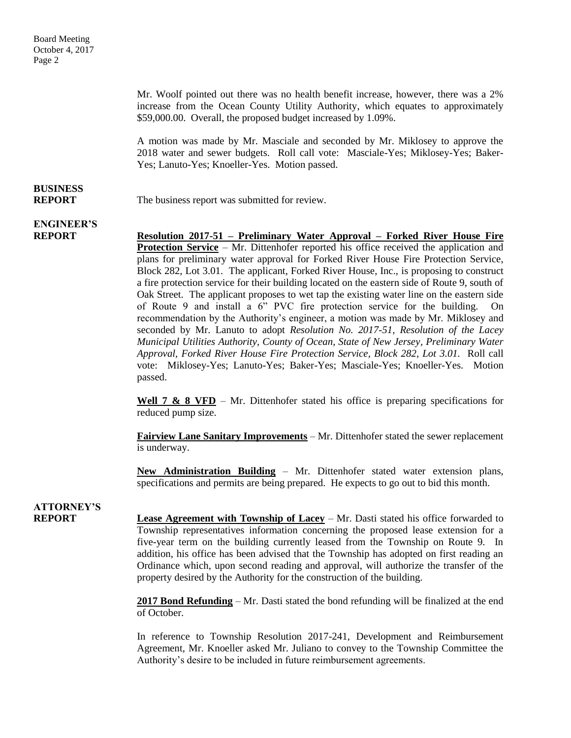Mr. Woolf pointed out there was no health benefit increase, however, there was a 2% increase from the Ocean County Utility Authority, which equates to approximately \$59,000.00. Overall, the proposed budget increased by 1.09%.

A motion was made by Mr. Masciale and seconded by Mr. Miklosey to approve the 2018 water and sewer budgets. Roll call vote: Masciale-Yes; Miklosey-Yes; Baker-Yes; Lanuto-Yes; Knoeller-Yes. Motion passed.

# **BUSINESS**

**REPORT** The business report was submitted for review.

# **ENGINEER'S**

**REPORT Resolution 2017-51 – Preliminary Water Approval – Forked River House Fire Protection Service** – Mr. Dittenhofer reported his office received the application and plans for preliminary water approval for Forked River House Fire Protection Service, Block 282, Lot 3.01. The applicant, Forked River House, Inc., is proposing to construct a fire protection service for their building located on the eastern side of Route 9, south of Oak Street. The applicant proposes to wet tap the existing water line on the eastern side of Route 9 and install a 6" PVC fire protection service for the building. On recommendation by the Authority's engineer, a motion was made by Mr. Miklosey and seconded by Mr. Lanuto to adopt *Resolution No. 2017-51, Resolution of the Lacey Municipal Utilities Authority, County of Ocean, State of New Jersey, Preliminary Water Approval, Forked River House Fire Protection Service, Block 282, Lot 3.01.* Roll call vote: Miklosey-Yes; Lanuto-Yes; Baker-Yes; Masciale-Yes; Knoeller-Yes. Motion passed.

> **Well 7 & 8 VFD** – Mr. Dittenhofer stated his office is preparing specifications for reduced pump size.

> **Fairview Lane Sanitary Improvements** – Mr. Dittenhofer stated the sewer replacement is underway.

> **New Administration Building** – Mr. Dittenhofer stated water extension plans, specifications and permits are being prepared. He expects to go out to bid this month.

### **ATTORNEY'S**

**REPORT Lease Agreement with Township of Lacey** – Mr. Dasti stated his office forwarded to Township representatives information concerning the proposed lease extension for a five-year term on the building currently leased from the Township on Route 9. In addition, his office has been advised that the Township has adopted on first reading an Ordinance which, upon second reading and approval, will authorize the transfer of the property desired by the Authority for the construction of the building.

> **2017 Bond Refunding** – Mr. Dasti stated the bond refunding will be finalized at the end of October.

> In reference to Township Resolution 2017-241, Development and Reimbursement Agreement, Mr. Knoeller asked Mr. Juliano to convey to the Township Committee the Authority's desire to be included in future reimbursement agreements.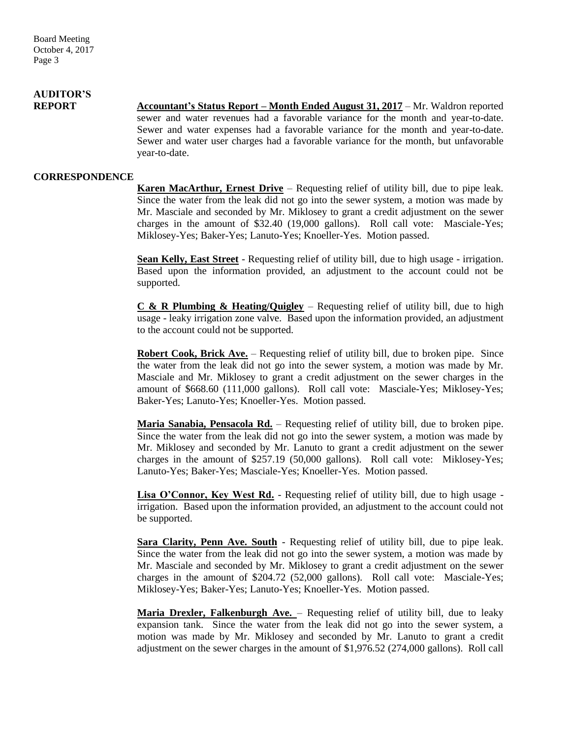# **AUDITOR'S**

**REPORT Accountant's Status Report – Month Ended August 31, 2017** – Mr. Waldron reported sewer and water revenues had a favorable variance for the month and year-to-date. Sewer and water expenses had a favorable variance for the month and year-to-date. Sewer and water user charges had a favorable variance for the month, but unfavorable year-to-date.

#### **CORRESPONDENCE**

**Karen MacArthur, Ernest Drive** – Requesting relief of utility bill, due to pipe leak. Since the water from the leak did not go into the sewer system, a motion was made by Mr. Masciale and seconded by Mr. Miklosey to grant a credit adjustment on the sewer charges in the amount of \$32.40 (19,000 gallons). Roll call vote: Masciale-Yes; Miklosey-Yes; Baker-Yes; Lanuto-Yes; Knoeller-Yes. Motion passed.

**Sean Kelly, East Street** - Requesting relief of utility bill, due to high usage - irrigation. Based upon the information provided, an adjustment to the account could not be supported.

**C & R Plumbing & Heating/Quigley** – Requesting relief of utility bill, due to high usage - leaky irrigation zone valve. Based upon the information provided, an adjustment to the account could not be supported.

**Robert Cook, Brick Ave.** – Requesting relief of utility bill, due to broken pipe. Since the water from the leak did not go into the sewer system, a motion was made by Mr. Masciale and Mr. Miklosey to grant a credit adjustment on the sewer charges in the amount of \$668.60 (111,000 gallons). Roll call vote: Masciale-Yes; Miklosey-Yes; Baker-Yes; Lanuto-Yes; Knoeller-Yes. Motion passed.

**Maria Sanabia, Pensacola Rd.** – Requesting relief of utility bill, due to broken pipe. Since the water from the leak did not go into the sewer system, a motion was made by Mr. Miklosey and seconded by Mr. Lanuto to grant a credit adjustment on the sewer charges in the amount of \$257.19 (50,000 gallons). Roll call vote: Miklosey-Yes; Lanuto-Yes; Baker-Yes; Masciale-Yes; Knoeller-Yes. Motion passed.

**Lisa O'Connor, Key West Rd.** - Requesting relief of utility bill, due to high usage irrigation. Based upon the information provided, an adjustment to the account could not be supported.

**Sara Clarity, Penn Ave. South** - Requesting relief of utility bill, due to pipe leak. Since the water from the leak did not go into the sewer system, a motion was made by Mr. Masciale and seconded by Mr. Miklosey to grant a credit adjustment on the sewer charges in the amount of \$204.72 (52,000 gallons). Roll call vote: Masciale-Yes; Miklosey-Yes; Baker-Yes; Lanuto-Yes; Knoeller-Yes. Motion passed.

**Maria Drexler, Falkenburgh Ave.** – Requesting relief of utility bill, due to leaky expansion tank. Since the water from the leak did not go into the sewer system, a motion was made by Mr. Miklosey and seconded by Mr. Lanuto to grant a credit adjustment on the sewer charges in the amount of \$1,976.52 (274,000 gallons). Roll call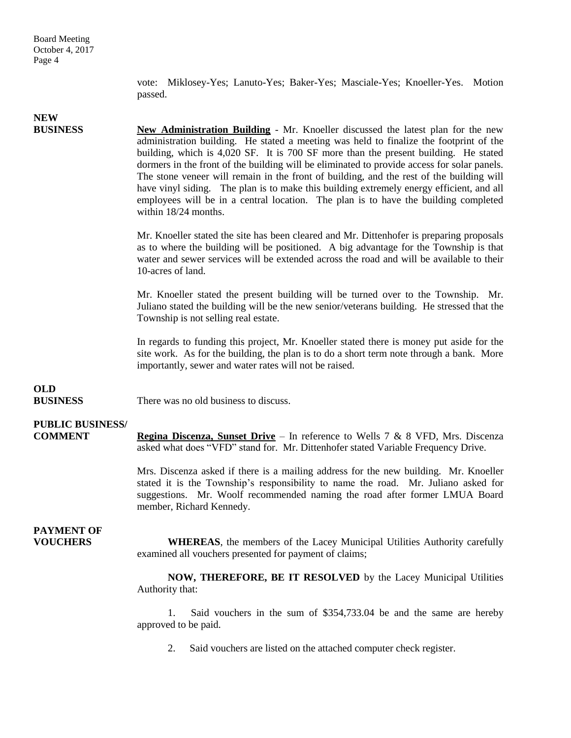vote: Miklosey-Yes; Lanuto-Yes; Baker-Yes; Masciale-Yes; Knoeller-Yes. Motion passed.

# **NEW**

**BUSINESS New Administration Building** - Mr. Knoeller discussed the latest plan for the new administration building. He stated a meeting was held to finalize the footprint of the building, which is 4,020 SF. It is 700 SF more than the present building. He stated dormers in the front of the building will be eliminated to provide access for solar panels. The stone veneer will remain in the front of building, and the rest of the building will have vinyl siding. The plan is to make this building extremely energy efficient, and all employees will be in a central location. The plan is to have the building completed within 18/24 months.

> Mr. Knoeller stated the site has been cleared and Mr. Dittenhofer is preparing proposals as to where the building will be positioned. A big advantage for the Township is that water and sewer services will be extended across the road and will be available to their 10-acres of land.

> Mr. Knoeller stated the present building will be turned over to the Township. Mr. Juliano stated the building will be the new senior/veterans building. He stressed that the Township is not selling real estate.

> In regards to funding this project, Mr. Knoeller stated there is money put aside for the site work. As for the building, the plan is to do a short term note through a bank. More importantly, sewer and water rates will not be raised.

## **OLD**

**BUSINESS** There was no old business to discuss.

### **PUBLIC BUSINESS/**

**COMMENT Regina Discenza, Sunset Drive** – In reference to Wells 7 & 8 VFD, Mrs. Discenza asked what does "VFD" stand for. Mr. Dittenhofer stated Variable Frequency Drive.

> Mrs. Discenza asked if there is a mailing address for the new building. Mr. Knoeller stated it is the Township's responsibility to name the road. Mr. Juliano asked for suggestions. Mr. Woolf recommended naming the road after former LMUA Board member, Richard Kennedy.

# **PAYMENT OF**

**VOUCHERS WHEREAS**, the members of the Lacey Municipal Utilities Authority carefully examined all vouchers presented for payment of claims;

> **NOW, THEREFORE, BE IT RESOLVED** by the Lacey Municipal Utilities Authority that:

> 1. Said vouchers in the sum of \$354,733.04 be and the same are hereby approved to be paid.

2. Said vouchers are listed on the attached computer check register.